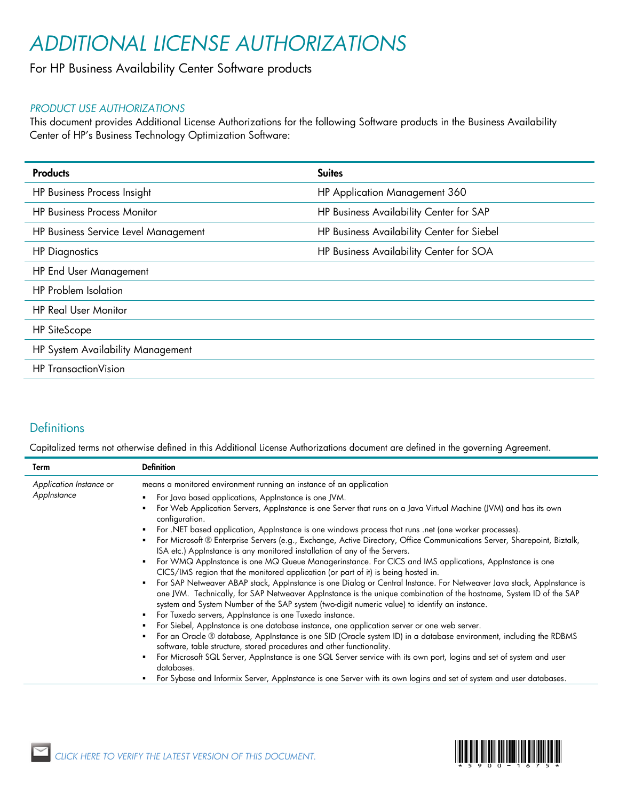# *ADDITIONAL LICENSE AUTHORIZATIONS*

### For HP Business Availability Center Software products

### *PRODUCT USE AUTHORIZATIONS*

This document provides Additional License Authorizations for the following Software products in the Business Availability Center of HP's Business Technology Optimization Software:

| <b>Suites</b>                              |
|--------------------------------------------|
| HP Application Management 360              |
| HP Business Availability Center for SAP    |
| HP Business Availability Center for Siebel |
| HP Business Availability Center for SOA    |
|                                            |
|                                            |
|                                            |
|                                            |
|                                            |
|                                            |
|                                            |

### **Definitions**

Capitalized terms not otherwise defined in this Additional License Authorizations document are defined in the governing Agreement.

| Term                                   | <b>Definition</b>                                                                                                                                                                                                                                                                                                                                                                                                |
|----------------------------------------|------------------------------------------------------------------------------------------------------------------------------------------------------------------------------------------------------------------------------------------------------------------------------------------------------------------------------------------------------------------------------------------------------------------|
| Application Instance or<br>AppInstance | means a monitored environment running an instance of an application                                                                                                                                                                                                                                                                                                                                              |
|                                        | • For Java based applications, Applnstance is one JVM.                                                                                                                                                                                                                                                                                                                                                           |
|                                        | For Web Application Servers, Applnstance is one Server that runs on a Java Virtual Machine (JVM) and has its own<br>configuration.                                                                                                                                                                                                                                                                               |
|                                        | For .NET based application, Applnstance is one windows process that runs .net (one worker processes).                                                                                                                                                                                                                                                                                                            |
|                                        | For Microsoft ® Enterprise Servers (e.g., Exchange, Active Directory, Office Communications Server, Sharepoint, Biztalk,<br>٠<br>ISA etc.) Applnstance is any monitored installation of any of the Servers.                                                                                                                                                                                                      |
|                                        | For WMQ Applnstance is one MQ Queue Managerinstance. For CICS and IMS applications, Applnstance is one<br>٠<br>CICS/IMS region that the monitored application (or part of it) is being hosted in.                                                                                                                                                                                                                |
|                                        | For SAP Netweaver ABAP stack, Applnstance is one Dialog or Central Instance. For Netweaver Java stack, Applnstance is<br>٠.<br>one JVM. Technically, for SAP Netweaver Applnstance is the unique combination of the hostname, System ID of the SAP<br>system and System Number of the SAP system (two-digit numeric value) to identify an instance.<br>• For Tuxedo servers, Applnstance is one Tuxedo instance. |
|                                        | For Siebel, AppInstance is one database instance, one application server or one web server.                                                                                                                                                                                                                                                                                                                      |
|                                        | • For an Oracle ® database, Applnstance is one SID (Oracle system ID) in a database environment, including the RDBMS<br>software, table structure, stored procedures and other functionality.                                                                                                                                                                                                                    |
|                                        | For Microsoft SQL Server, Applnstance is one SQL Server service with its own port, logins and set of system and user<br>٠<br>databases.                                                                                                                                                                                                                                                                          |
|                                        | For Sybase and Informix Server, AppInstance is one Server with its own logins and set of system and user databases.                                                                                                                                                                                                                                                                                              |

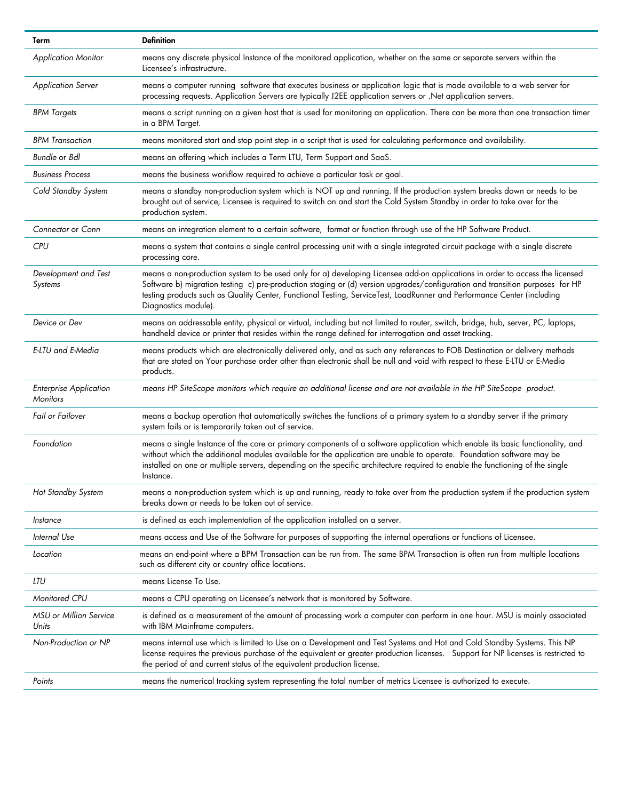| Term                                             | <b>Definition</b>                                                                                                                                                                                                                                                                                                                                                                                              |
|--------------------------------------------------|----------------------------------------------------------------------------------------------------------------------------------------------------------------------------------------------------------------------------------------------------------------------------------------------------------------------------------------------------------------------------------------------------------------|
| <b>Application Monitor</b>                       | means any discrete physical Instance of the monitored application, whether on the same or separate servers within the<br>Licensee's infrastructure.                                                                                                                                                                                                                                                            |
| <b>Application Server</b>                        | means a computer running software that executes business or application logic that is made available to a web server for<br>processing requests. Application Servers are typically J2EE application servers or .Net application servers.                                                                                                                                                                       |
| <b>BPM Targets</b>                               | means a script running on a given host that is used for monitoring an application. There can be more than one transaction timer<br>in a BPM Target.                                                                                                                                                                                                                                                            |
| <b>BPM Transaction</b>                           | means monitored start and stop point step in a script that is used for calculating performance and availability.                                                                                                                                                                                                                                                                                               |
| Bundle or Bdl                                    | means an offering which includes a Term LTU, Term Support and SaaS.                                                                                                                                                                                                                                                                                                                                            |
| <b>Business Process</b>                          | means the business workflow required to achieve a particular task or goal.                                                                                                                                                                                                                                                                                                                                     |
| Cold Standby System                              | means a standby non-production system which is NOT up and running. If the production system breaks down or needs to be<br>brought out of service, Licensee is required to switch on and start the Cold System Standby in order to take over for the<br>production system.                                                                                                                                      |
| Connector or Conn                                | means an integration element to a certain software, format or function through use of the HP Software Product.                                                                                                                                                                                                                                                                                                 |
| <b>CPU</b>                                       | means a system that contains a single central processing unit with a single integrated circuit package with a single discrete<br>processing core.                                                                                                                                                                                                                                                              |
| Development and Test<br>Systems                  | means a non-production system to be used only for a) developing Licensee add-on applications in order to access the licensed<br>Software b) migration testing c) pre-production staging or (d) version upgrades/configuration and transition purposes for HP<br>testing products such as Quality Center, Functional Testing, ServiceTest, LoadRunner and Performance Center (including<br>Diagnostics module). |
| Device or Dev                                    | means an addressable entity, physical or virtual, including but not limited to router, switch, bridge, hub, server, PC, laptops,<br>handheld device or printer that resides within the range defined for interrogation and asset tracking.                                                                                                                                                                     |
| E-LTU and E-Media                                | means products which are electronically delivered only, and as such any references to FOB Destination or delivery methods<br>that are stated on Your purchase order other than electronic shall be null and void with respect to these E-LTU or E-Media<br>products.                                                                                                                                           |
| <b>Enterprise Application</b><br><b>Monitors</b> | means HP SiteScope monitors which require an additional license and are not available in the HP SiteScope product.                                                                                                                                                                                                                                                                                             |
| Fail or Failover                                 | means a backup operation that automatically switches the functions of a primary system to a standby server if the primary<br>system fails or is temporarily taken out of service.                                                                                                                                                                                                                              |
| Foundation                                       | means a single Instance of the core or primary components of a software application which enable its basic functionality, and<br>without which the additional modules available for the application are unable to operate. Foundation software may be<br>installed on one or multiple servers, depending on the specific architecture required to enable the functioning of the single<br>Instance.            |
| Hot Standby System                               | means a non-production system which is up and running, ready to take over from the production system if the production system<br>breaks down or needs to be taken out of service.                                                                                                                                                                                                                              |
| Instance                                         | is defined as each implementation of the application installed on a server.                                                                                                                                                                                                                                                                                                                                    |
| Internal Use                                     | means access and Use of the Software for purposes of supporting the internal operations or functions of Licensee.                                                                                                                                                                                                                                                                                              |
| Location                                         | means an end-point where a BPM Transaction can be run from. The same BPM Transaction is often run from multiple locations<br>such as different city or country office locations.                                                                                                                                                                                                                               |
| LTU                                              | means License To Use.                                                                                                                                                                                                                                                                                                                                                                                          |
| Monitored CPU                                    | means a CPU operating on Licensee's network that is monitored by Software.                                                                                                                                                                                                                                                                                                                                     |
| MSU or Million Service<br>Units                  | is defined as a measurement of the amount of processing work a computer can perform in one hour. MSU is mainly associated<br>with IBM Mainframe computers.                                                                                                                                                                                                                                                     |
| Non-Production or NP                             | means internal use which is limited to Use on a Development and Test Systems and Hot and Cold Standby Systems. This NP<br>license requires the previous purchase of the equivalent or greater production licenses. Support for NP licenses is restricted to<br>the period of and current status of the equivalent production license.                                                                          |
| Points                                           | means the numerical tracking system representing the total number of metrics Licensee is authorized to execute.                                                                                                                                                                                                                                                                                                |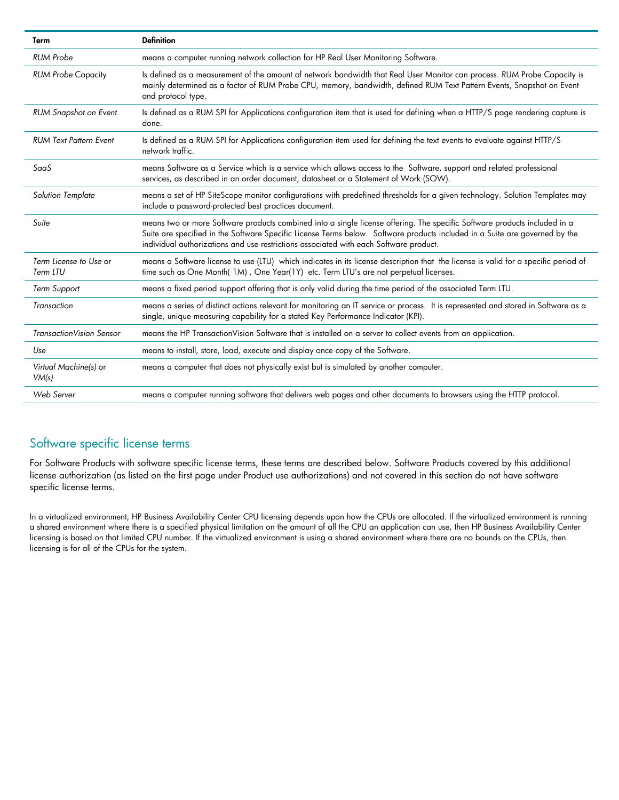| Term                               | <b>Definition</b>                                                                                                                                                                                                                                                                                                                                 |
|------------------------------------|---------------------------------------------------------------------------------------------------------------------------------------------------------------------------------------------------------------------------------------------------------------------------------------------------------------------------------------------------|
| <b>RUM Probe</b>                   | means a computer running network collection for HP Real User Monitoring Software.                                                                                                                                                                                                                                                                 |
| <b>RUM Probe Capacity</b>          | Is defined as a measurement of the amount of network bandwidth that Real User Monitor can process. RUM Probe Capacity is<br>mainly determined as a factor of RUM Probe CPU, memory, bandwidth, defined RUM Text Pattern Events, Snapshot on Event<br>and protocol type.                                                                           |
| <b>RUM Snapshot on Event</b>       | Is defined as a RUM SPI for Applications configuration item that is used for defining when a HTTP/S page rendering capture is<br>done.                                                                                                                                                                                                            |
| <b>RUM Text Pattern Event</b>      | Is defined as a RUM SPI for Applications configuration item used for defining the text events to evaluate against HTTP/S<br>network traffic.                                                                                                                                                                                                      |
| SaaS                               | means Software as a Service which is a service which allows access to the Software, support and related professional<br>services, as described in an order document, datasheet or a Statement of Work (SOW).                                                                                                                                      |
| <b>Solution Template</b>           | means a set of HP SiteScope monitor configurations with predefined thresholds for a given technology. Solution Templates may<br>include a password-protected best practices document.                                                                                                                                                             |
| Suite                              | means two or more Software products combined into a single license offering. The specific Software products included in a<br>Suite are specified in the Software Specific License Terms below. Software products included in a Suite are governed by the<br>individual authorizations and use restrictions associated with each Software product. |
| Term License to Use or<br>Term LTU | means a Software license to use (LTU) which indicates in its license description that the license is valid for a specific period of<br>time such as One Month(1M), One Year(1Y) etc. Term LTU's are not perpetual licenses.                                                                                                                       |
| <b>Term Support</b>                | means a fixed period support offering that is only valid during the time period of the associated Term LTU.                                                                                                                                                                                                                                       |
| Transaction                        | means a series of distinct actions relevant for monitoring an IT service or process. It is represented and stored in Software as a<br>single, unique measuring capability for a stated Key Performance Indicator (KPI).                                                                                                                           |
| TransactionVision Sensor           | means the HP TransactionVision Software that is installed on a server to collect events from an application.                                                                                                                                                                                                                                      |
| Use                                | means to install, store, load, execute and display once copy of the Software.                                                                                                                                                                                                                                                                     |
| Virtual Machine(s) or<br>VM(s)     | means a computer that does not physically exist but is simulated by another computer.                                                                                                                                                                                                                                                             |
| Web Server                         | means a computer running software that delivers web pages and other documents to browsers using the HTTP protocol.                                                                                                                                                                                                                                |

## Software specific license terms

For Software Products with software specific license terms, these terms are described below. Software Products covered by this additional license authorization (as listed on the first page under Product use authorizations) and not covered in this section do not have software specific license terms.

In a virtualized environment, HP Business Availability Center CPU licensing depends upon how the CPUs are allocated. If the virtualized environment is running a shared environment where there is a specified physical limitation on the amount of all the CPU an application can use, then HP Business Availability Center licensing is based on that limited CPU number. If the virtualized environment is using a shared environment where there are no bounds on the CPUs, then licensing is for all of the CPUs for the system.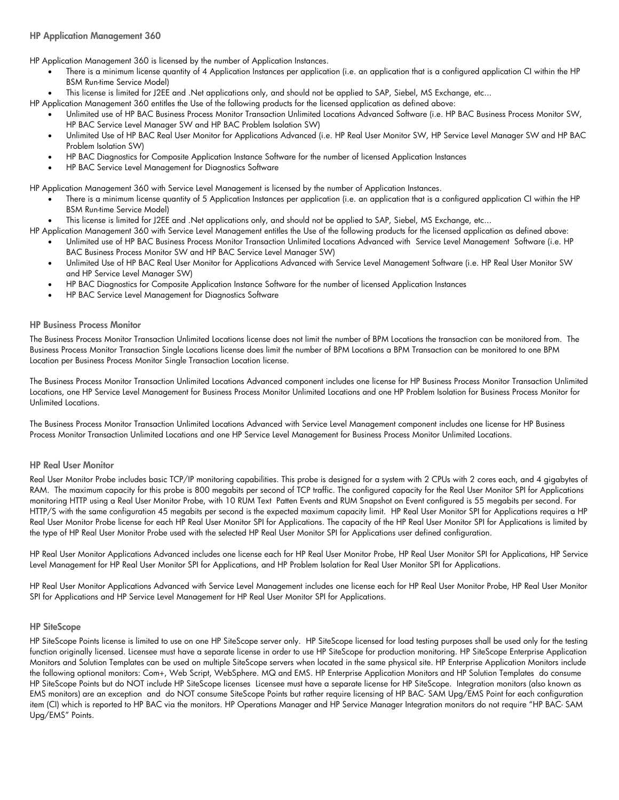HP Application Management 360 is licensed by the number of Application Instances.

- There is a minimum license quantity of 4 Application Instances per application (i.e. an application that is a configured application CI within the HP BSM Run-time Service Model)
- This license is limited for J2EE and .Net applications only, and should not be applied to SAP, Siebel, MS Exchange, etc...
- HP Application Management 360 entitles the Use of the following products for the licensed application as defined above:
	- Unlimited use of HP BAC Business Process Monitor Transaction Unlimited Locations Advanced Software (i.e. HP BAC Business Process Monitor SW, HP BAC Service Level Manager SW and HP BAC Problem Isolation SW)
	- Unlimited Use of HP BAC Real User Monitor for Applications Advanced (i.e. HP Real User Monitor SW, HP Service Level Manager SW and HP BAC Problem Isolation SW)
	- HP BAC Diagnostics for Composite Application Instance Software for the number of licensed Application Instances
	- HP BAC Service Level Management for Diagnostics Software

HP Application Management 360 with Service Level Management is licensed by the number of Application Instances.

- There is a minimum license quantity of 5 Application Instances per application (i.e. an application that is a configured application CI within the HP BSM Run-time Service Model)
- This license is limited for J2EE and .Net applications only, and should not be applied to SAP, Siebel, MS Exchange, etc...

HP Application Management 360 with Service Level Management entitles the Use of the following products for the licensed application as defined above:

- Unlimited use of HP BAC Business Process Monitor Transaction Unlimited Locations Advanced with Service Level Management Software (i.e. HP BAC Business Process Monitor SW and HP BAC Service Level Manager SW)
	- Unlimited Use of HP BAC Real User Monitor for Applications Advanced with Service Level Management Software (i.e. HP Real User Monitor SW and HP Service Level Manager SW)
	- HP BAC Diagnostics for Composite Application Instance Software for the number of licensed Application Instances
	- HP BAC Service Level Management for Diagnostics Software

#### HP Business Process Monitor

The Business Process Monitor Transaction Unlimited Locations license does not limit the number of BPM Locations the transaction can be monitored from. The Business Process Monitor Transaction Single Locations license does limit the number of BPM Locations a BPM Transaction can be monitored to one BPM Location per Business Process Monitor Single Transaction Location license.

The Business Process Monitor Transaction Unlimited Locations Advanced component includes one license for HP Business Process Monitor Transaction Unlimited Locations, one HP Service Level Management for Business Process Monitor Unlimited Locations and one HP Problem Isolation for Business Process Monitor for Unlimited Locations.

The Business Process Monitor Transaction Unlimited Locations Advanced with Service Level Management component includes one license for HP Business Process Monitor Transaction Unlimited Locations and one HP Service Level Management for Business Process Monitor Unlimited Locations.

#### HP Real User Monitor

Real User Monitor Probe includes basic TCP/IP monitoring capabilities. This probe is designed for a system with 2 CPUs with 2 cores each, and 4 gigabytes of RAM. The maximum capacity for this probe is 800 megabits per second of TCP traffic. The configured capacity for the Real User Monitor SPI for Applications monitoring HTTP using a Real User Monitor Probe, with 10 RUM Text Patten Events and RUM Snapshot on Event configured is 55 megabits per second. For HTTP/S with the same configuration 45 megabits per second is the expected maximum capacity limit. HP Real User Monitor SPI for Applications requires a HP Real User Monitor Probe license for each HP Real User Monitor SPI for Applications. The capacity of the HP Real User Monitor SPI for Applications is limited by the type of HP Real User Monitor Probe used with the selected HP Real User Monitor SPI for Applications user defined configuration.

HP Real User Monitor Applications Advanced includes one license each for HP Real User Monitor Probe, HP Real User Monitor SPI for Applications, HP Service Level Management for HP Real User Monitor SPI for Applications, and HP Problem Isolation for Real User Monitor SPI for Applications.

HP Real User Monitor Applications Advanced with Service Level Management includes one license each for HP Real User Monitor Probe, HP Real User Monitor SPI for Applications and HP Service Level Management for HP Real User Monitor SPI for Applications.

#### HP SiteScope

HP SiteScope Points license is limited to use on one HP SiteScope server only. HP SiteScope licensed for load testing purposes shall be used only for the testing function originally licensed. Licensee must have a separate license in order to use HP SiteScope for production monitoring. HP SiteScope Enterprise Application Monitors and Solution Templates can be used on multiple SiteScope servers when located in the same physical site. HP Enterprise Application Monitors include the following optional monitors: Com+, Web Script, WebSphere. MQ and EMS. HP Enterprise Application Monitors and HP Solution Templates do consume HP SiteScope Points but do NOT include HP SiteScope licenses Licensee must have a separate license for HP SiteScope. Integration monitors (also known as EMS monitors) are an exception and do NOT consume SiteScope Points but rather require licensing of HP BAC- SAM Upg/EMS Point for each configuration item (CI) which is reported to HP BAC via the monitors. HP Operations Manager and HP Service Manager Integration monitors do not require "HP BAC- SAM Upg/EMS" Points.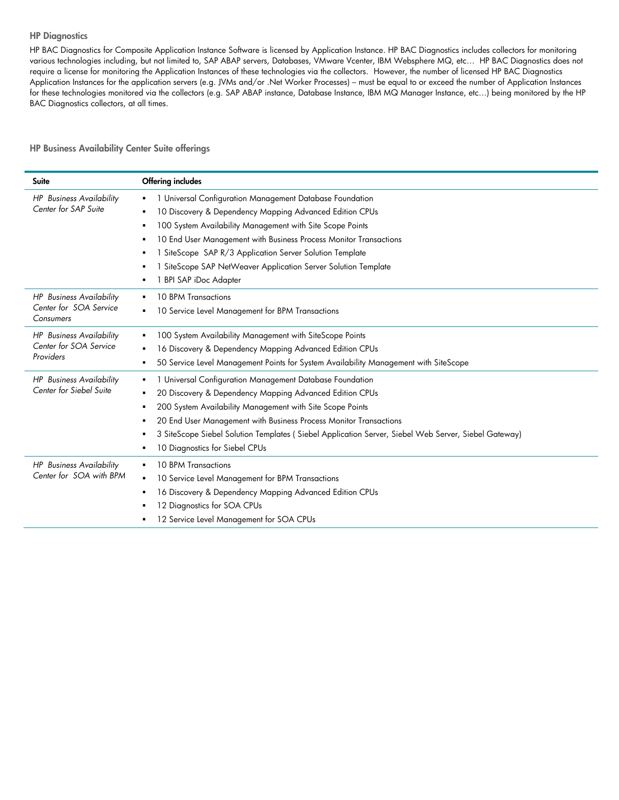#### **HP Diagnostics**

HP BAC Diagnostics for Composite Application Instance Software is licensed by Application Instance. HP BAC Diagnostics includes collectors for monitoring various technologies including, but not limited to, SAP ABAP servers, Databases, VMware Vcenter, IBM Websphere MQ, etc… HP BAC Diagnostics does not require a license for monitoring the Application Instances of these technologies via the collectors. However, the number of licensed HP BAC Diagnostics Application Instances for the application servers (e.g. JVMs and/or .Net Worker Processes) – must be equal to or exceed the number of Application Instances for these technologies monitored via the collectors (e.g. SAP ABAP instance, Database Instance, IBM MQ Manager Instance, etc...) being monitored by the HP BAC Diagnostics collectors, at all times.

HP Business Availability Center Suite offerings

| Suite                                                                  | <b>Offering includes</b>                                                                                                                                                                                                                                                                                                                                                                                    |
|------------------------------------------------------------------------|-------------------------------------------------------------------------------------------------------------------------------------------------------------------------------------------------------------------------------------------------------------------------------------------------------------------------------------------------------------------------------------------------------------|
| <b>HP</b> Business Availability<br>Center for SAP Suite                | 1 Universal Configuration Management Database Foundation<br>10 Discovery & Dependency Mapping Advanced Edition CPUs<br>100 System Availability Management with Site Scope Points<br>10 End User Management with Business Process Monitor Transactions<br>SiteScope SAP R/3 Application Server Solution Template<br>1 SiteScope SAP NetWeaver Application Server Solution Template<br>1 BPI SAP iDoc Adapter |
| <b>HP</b> Business Availability<br>Center for SOA Service<br>Consumers | <b>10 BPM Transactions</b><br>$\blacksquare$<br>10 Service Level Management for BPM Transactions                                                                                                                                                                                                                                                                                                            |
| <b>HP</b> Business Availability<br>Center for SOA Service<br>Providers | 100 System Availability Management with SiteScope Points<br>٠<br>16 Discovery & Dependency Mapping Advanced Edition CPUs<br>50 Service Level Management Points for System Availability Management with SiteScope<br>٠                                                                                                                                                                                       |
| <b>HP</b> Business Availability<br>Center for Siebel Suite             | 1 Universal Configuration Management Database Foundation<br>20 Discovery & Dependency Mapping Advanced Edition CPUs<br>٠<br>200 System Availability Management with Site Scope Points<br>п<br>20 End User Management with Business Process Monitor Transactions<br>3 SiteScope Siebel Solution Templates (Siebel Application Server, Siebel Web Server, Siebel Gateway)<br>10 Diagnostics for Siebel CPUs   |
| <b>HP</b> Business Availability<br>Center for SOA with BPM             | 10 BPM Transactions<br>10 Service Level Management for BPM Transactions<br>$\blacksquare$<br>16 Discovery & Dependency Mapping Advanced Edition CPUs<br>12 Diagnostics for SOA CPUs<br>12 Service Level Management for SOA CPUs                                                                                                                                                                             |